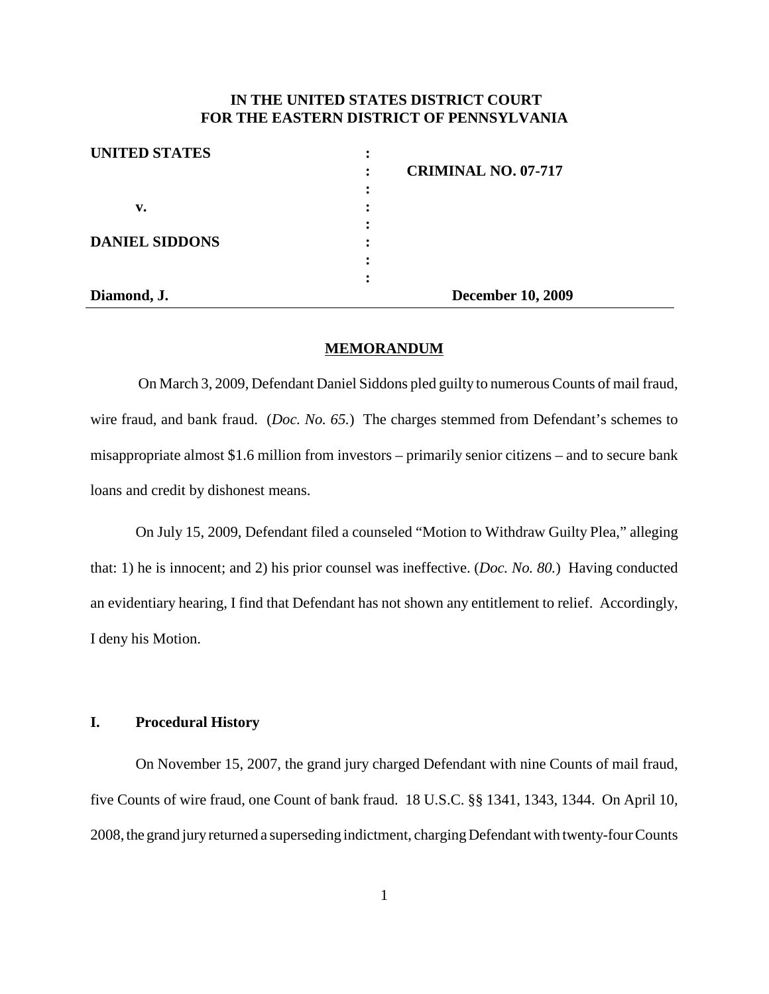# **IN THE UNITED STATES DISTRICT COURT FOR THE EASTERN DISTRICT OF PENNSYLVANIA**

| <b>UNITED STATES</b>  |                            |  |
|-----------------------|----------------------------|--|
|                       | <b>CRIMINAL NO. 07-717</b> |  |
|                       | :                          |  |
| v.                    |                            |  |
|                       |                            |  |
| <b>DANIEL SIDDONS</b> |                            |  |
|                       |                            |  |
|                       | $\bullet$                  |  |
| Diamond, J.           | <b>December 10, 2009</b>   |  |

#### **MEMORANDUM**

On March 3, 2009, Defendant Daniel Siddons pled guilty to numerous Counts of mail fraud, wire fraud, and bank fraud. (*Doc. No. 65.*) The charges stemmed from Defendant's schemes to misappropriate almost \$1.6 million from investors – primarily senior citizens – and to secure bank loans and credit by dishonest means.

On July 15, 2009, Defendant filed a counseled "Motion to Withdraw Guilty Plea," alleging that: 1) he is innocent; and 2) his prior counsel was ineffective. (*Doc. No. 80.*) Having conducted an evidentiary hearing, I find that Defendant has not shown any entitlement to relief. Accordingly, I deny his Motion.

## **I. Procedural History**

On November 15, 2007, the grand jury charged Defendant with nine Counts of mail fraud, five Counts of wire fraud, one Count of bank fraud. 18 U.S.C. §§ 1341, 1343, 1344. On April 10, 2008, the grand juryreturned a superseding indictment, chargingDefendant with twenty-fourCounts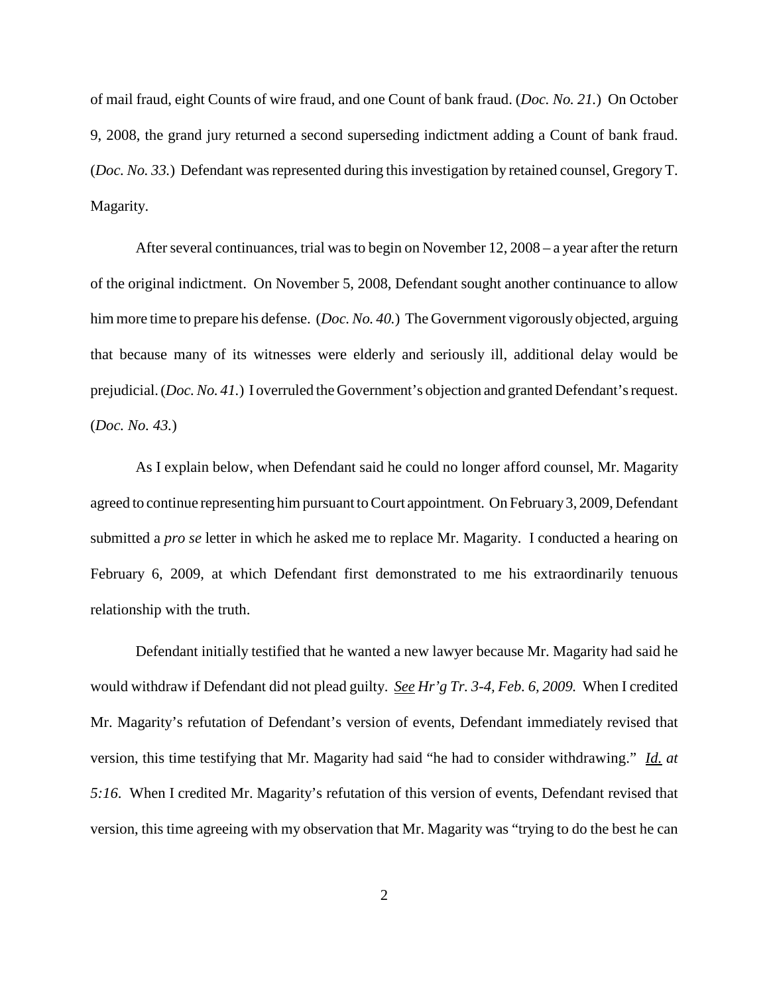of mail fraud, eight Counts of wire fraud, and one Count of bank fraud. (*Doc. No. 21.*) On October 9, 2008, the grand jury returned a second superseding indictment adding a Count of bank fraud. (*Doc. No.* 33.) Defendant was represented during this investigation by retained counsel, Gregory T. Magarity.

After several continuances, trial was to begin on November  $12, 2008 - a$  year after the return of the original indictment. On November 5, 2008, Defendant sought another continuance to allow him more time to prepare his defense. (*Doc. No. 40.*) The Government vigorously objected, arguing that because many of its witnesses were elderly and seriously ill, additional delay would be prejudicial.(*Doc.No. 41.*) I overruled the Government's objection and granted Defendant'srequest. (*Doc. No. 43.*)

As I explain below, when Defendant said he could no longer afford counsel, Mr. Magarity agreed to continue representing himpursuant to Court appointment. On February 3, 2009, Defendant submitted a *pro se* letter in which he asked me to replace Mr. Magarity. I conducted a hearing on February 6, 2009, at which Defendant first demonstrated to me his extraordinarily tenuous relationship with the truth.

Defendant initially testified that he wanted a new lawyer because Mr. Magarity had said he would withdraw if Defendant did not plead guilty. *See Hr'g Tr. 3-4, Feb. 6, 2009.* When I credited Mr. Magarity's refutation of Defendant's version of events, Defendant immediately revised that version, this time testifying that Mr. Magarity had said "he had to consider withdrawing." *Id. at 5:16*. When I credited Mr. Magarity's refutation of this version of events, Defendant revised that version, this time agreeing with my observation that Mr. Magarity was "trying to do the best he can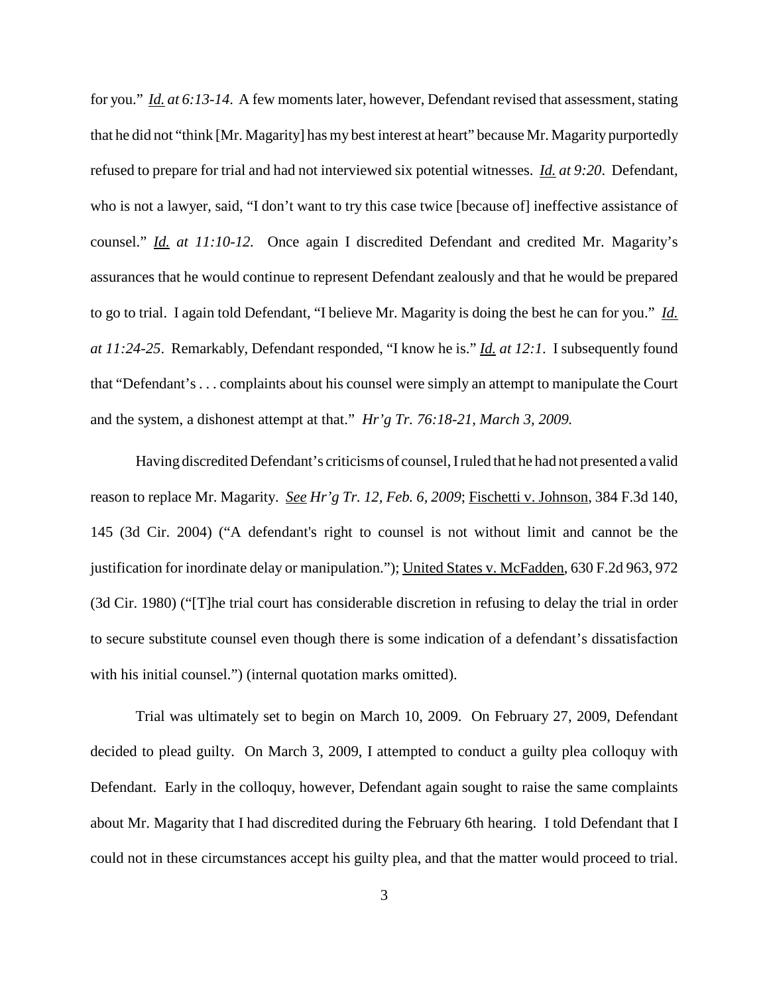for you." *Id. at* 6:13-14. A few moments later, however, Defendant revised that assessment, stating that he did not "think [Mr. Magarity] has my best interest at heart" because Mr. Magarity purportedly refused to prepare for trial and had not interviewed six potential witnesses. *Id. at 9:20*. Defendant, who is not a lawyer, said, "I don't want to try this case twice [because of] ineffective assistance of counsel." *Id. at 11:10-12.* Once again I discredited Defendant and credited Mr. Magarity's assurances that he would continue to represent Defendant zealously and that he would be prepared to go to trial. I again told Defendant, "I believe Mr. Magarity is doing the best he can for you." *Id. at 11:24-25*. Remarkably, Defendant responded, "I know he is." *Id. at 12:1*. I subsequently found that "Defendant's . . . complaints about his counsel were simply an attempt to manipulate the Court and the system, a dishonest attempt at that." *Hr'g Tr. 76:18-21, March 3, 2009.*

Having discredited Defendant's criticisms of counsel,Iruled that he had not presented a valid reason to replace Mr. Magarity. *See Hr'g Tr. 12, Feb. 6, 2009*; Fischetti v. Johnson, 384 F.3d 140, 145 (3d Cir. 2004) ("A defendant's right to counsel is not without limit and cannot be the justification for inordinate delay or manipulation."); United States v. McFadden, 630 F.2d 963, 972 (3d Cir. 1980) ("[T]he trial court has considerable discretion in refusing to delay the trial in order to secure substitute counsel even though there is some indication of a defendant's dissatisfaction with his initial counsel.") (internal quotation marks omitted).

Trial was ultimately set to begin on March 10, 2009. On February 27, 2009, Defendant decided to plead guilty. On March 3, 2009, I attempted to conduct a guilty plea colloquy with Defendant. Early in the colloquy, however, Defendant again sought to raise the same complaints about Mr. Magarity that I had discredited during the February 6th hearing. I told Defendant that I could not in these circumstances accept his guilty plea, and that the matter would proceed to trial.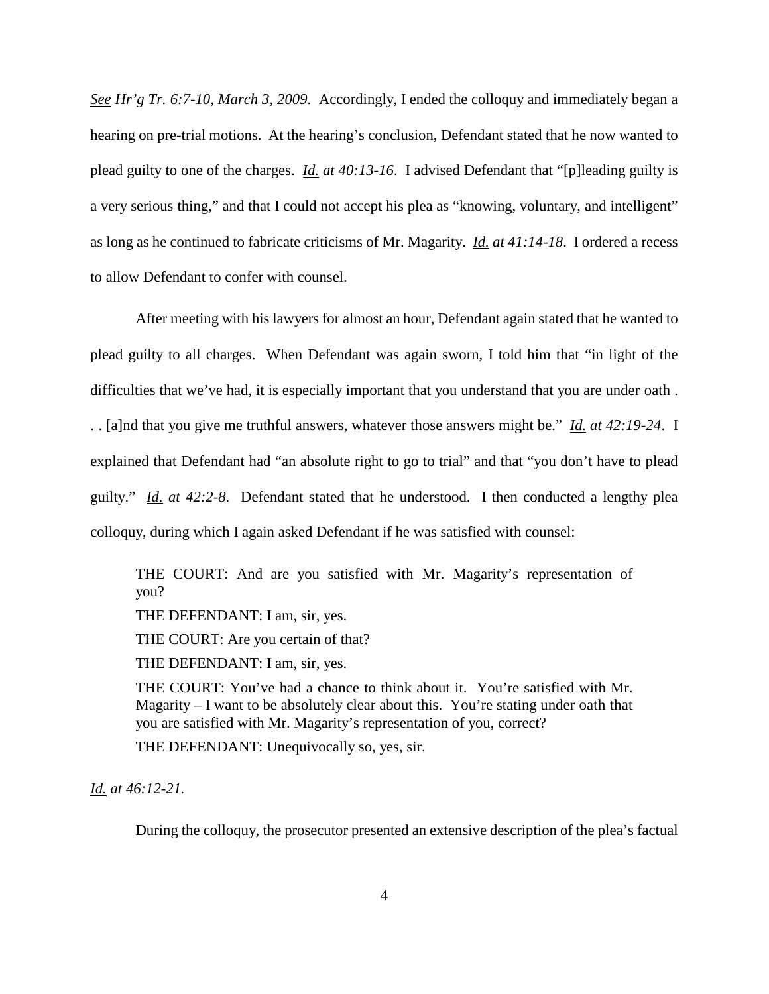*See Hr'g Tr. 6:7-10, March 3, 2009*. Accordingly, I ended the colloquy and immediately began a hearing on pre-trial motions. At the hearing's conclusion, Defendant stated that he now wanted to plead guilty to one of the charges. *Id. at 40:13-16*. I advised Defendant that "[p]leading guilty is a very serious thing," and that I could not accept his plea as "knowing, voluntary, and intelligent" as long as he continued to fabricate criticisms of Mr. Magarity. *Id. at 41:14-18*. I ordered a recess to allow Defendant to confer with counsel.

After meeting with his lawyers for almost an hour, Defendant again stated that he wanted to plead guilty to all charges. When Defendant was again sworn, I told him that "in light of the difficulties that we've had, it is especially important that you understand that you are under oath . . . [a]nd that you give me truthful answers, whatever those answers might be." *Id. at 42:19-24*. I explained that Defendant had "an absolute right to go to trial" and that "you don't have to plead guilty." *Id. at 42:2-8*. Defendant stated that he understood. I then conducted a lengthy plea colloquy, during which I again asked Defendant if he was satisfied with counsel:

THE COURT: And are you satisfied with Mr. Magarity's representation of you?

THE DEFENDANT: I am, sir, yes.

THE COURT: Are you certain of that?

THE DEFENDANT: I am, sir, yes.

THE COURT: You've had a chance to think about it. You're satisfied with Mr. Magarity – I want to be absolutely clear about this. You're stating under oath that you are satisfied with Mr. Magarity's representation of you, correct?

THE DEFENDANT: Unequivocally so, yes, sir.

*Id. at 46:12-21.*

During the colloquy, the prosecutor presented an extensive description of the plea's factual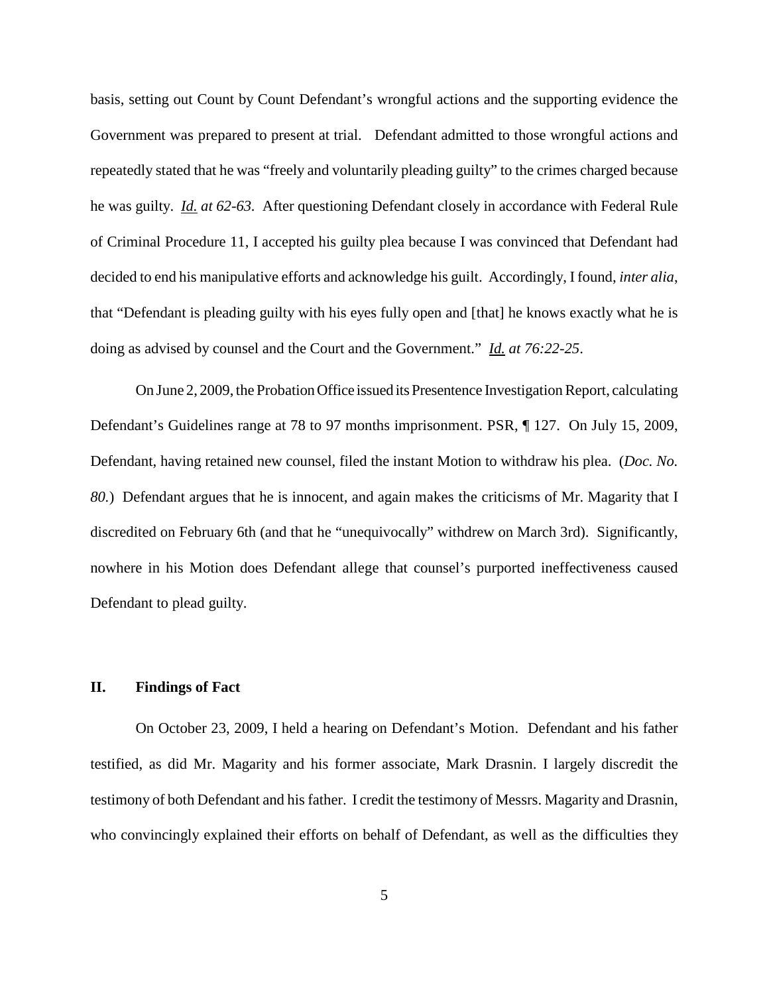basis, setting out Count by Count Defendant's wrongful actions and the supporting evidence the Government was prepared to present at trial. Defendant admitted to those wrongful actions and repeatedly stated that he was "freely and voluntarily pleading guilty" to the crimes charged because he was guilty. *Id. at 62-63.* After questioning Defendant closely in accordance with Federal Rule of Criminal Procedure 11, I accepted his guilty plea because I was convinced that Defendant had decided to end his manipulative efforts and acknowledge his guilt. Accordingly, I found, *inter alia*, that "Defendant is pleading guilty with his eyes fully open and [that] he knows exactly what he is doing as advised by counsel and the Court and the Government." *Id. at 76:22-25*.

On June 2, 2009, the Probation Office issued its Presentence Investigation Report, calculating Defendant's Guidelines range at 78 to 97 months imprisonment. PSR, ¶ 127. On July 15, 2009, Defendant, having retained new counsel, filed the instant Motion to withdraw his plea. (*Doc. No. 80.*) Defendant argues that he is innocent, and again makes the criticisms of Mr. Magarity that I discredited on February 6th (and that he "unequivocally" withdrew on March 3rd). Significantly, nowhere in his Motion does Defendant allege that counsel's purported ineffectiveness caused Defendant to plead guilty.

## **II. Findings of Fact**

On October 23, 2009, I held a hearing on Defendant's Motion. Defendant and his father testified, as did Mr. Magarity and his former associate, Mark Drasnin. I largely discredit the testimony of both Defendant and his father. I credit the testimony of Messrs. Magarity and Drasnin, who convincingly explained their efforts on behalf of Defendant, as well as the difficulties they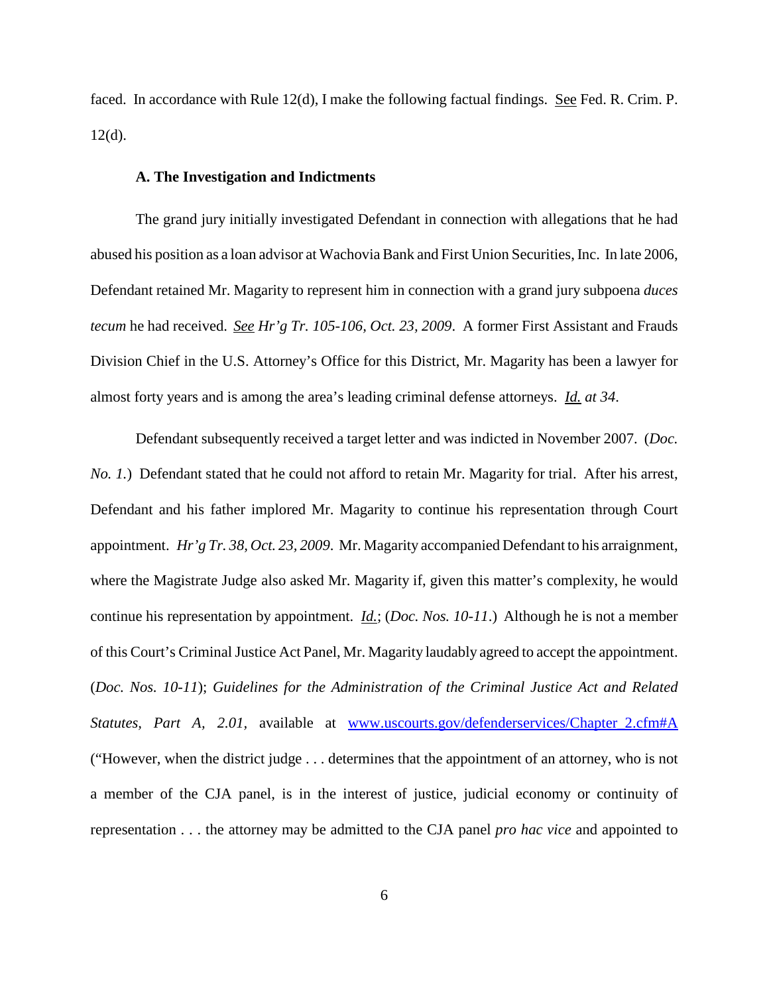faced. In accordance with Rule 12(d), I make the following factual findings. See Fed. R. Crim. P.  $12(d)$ .

### **A. The Investigation and Indictments**

The grand jury initially investigated Defendant in connection with allegations that he had abused his position as a loan advisor at WachoviaBank and First Union Securities, Inc. In late 2006, Defendant retained Mr. Magarity to represent him in connection with a grand jury subpoena *duces tecum* he had received. *See Hr'g Tr. 105-106, Oct. 23, 2009*. A former First Assistant and Frauds Division Chief in the U.S. Attorney's Office for this District, Mr. Magarity has been a lawyer for almost forty years and is among the area's leading criminal defense attorneys. *Id. at 34*.

Defendant subsequently received a target letter and was indicted in November 2007. (*Doc. No. 1.*) Defendant stated that he could not afford to retain Mr. Magarity for trial. After his arrest, Defendant and his father implored Mr. Magarity to continue his representation through Court appointment. *Hr'g Tr. 38, Oct. 23, 2009*. Mr. Magarity accompanied Defendant to his arraignment, where the Magistrate Judge also asked Mr. Magarity if, given this matter's complexity, he would continue his representation by appointment. *Id.*; (*Doc. Nos. 10-11*.) Although he is not a member of this Court's CriminalJustice Act Panel, Mr. Magarity laudably agreed to accept the appointment. (*Doc. Nos. 10-11*); *Guidelines for the Administration of the Criminal Justice Act and Related Statutes, Part A, 2.01,* available at www.uscourts.gov/defenderservices/Chapter\_2.cfm#A ("However, when the district judge . . . determines that the appointment of an attorney, who is not a member of the CJA panel, is in the interest of justice, judicial economy or continuity of representation . . . the attorney may be admitted to the CJA panel *pro hac vice* and appointed to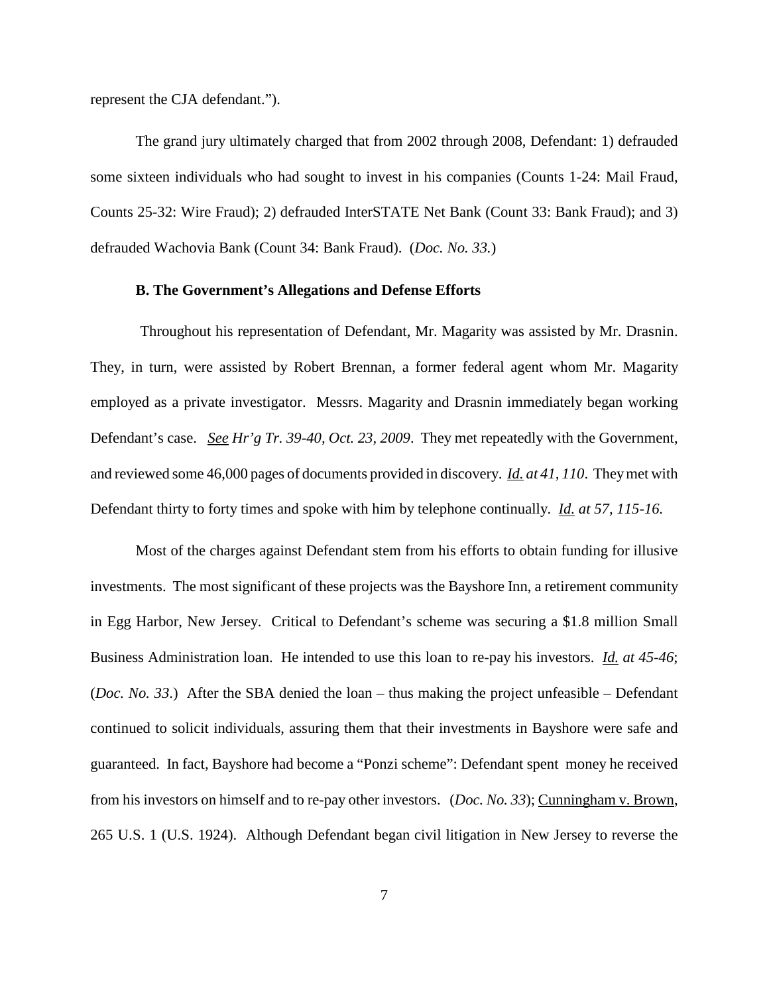represent the CJA defendant.").

The grand jury ultimately charged that from 2002 through 2008, Defendant: 1) defrauded some sixteen individuals who had sought to invest in his companies (Counts 1-24: Mail Fraud, Counts 25-32: Wire Fraud); 2) defrauded InterSTATE Net Bank (Count 33: Bank Fraud); and 3) defrauded Wachovia Bank (Count 34: Bank Fraud). (*Doc. No. 33.*)

## **B. The Government's Allegations and Defense Efforts**

Throughout his representation of Defendant, Mr. Magarity was assisted by Mr. Drasnin. They, in turn, were assisted by Robert Brennan, a former federal agent whom Mr. Magarity employed as a private investigator. Messrs. Magarity and Drasnin immediately began working Defendant's case. *See Hr'g Tr. 39-40, Oct. 23, 2009*. They met repeatedly with the Government, and reviewed some 46,000 pages of documents provided in discovery. *Id. at 41, 110*. Theymet with Defendant thirty to forty times and spoke with him by telephone continually. *Id. at 57, 115-16.*

Most of the charges against Defendant stem from his efforts to obtain funding for illusive investments. The most significant of these projects was the Bayshore Inn, a retirement community in Egg Harbor, New Jersey. Critical to Defendant's scheme was securing a \$1.8 million Small Business Administration loan. He intended to use this loan to re-pay his investors. *Id. at 45-46*; (*Doc. No. 33*.) After the SBA denied the loan – thus making the project unfeasible – Defendant continued to solicit individuals, assuring them that their investments in Bayshore were safe and guaranteed. In fact, Bayshore had become a "Ponzi scheme": Defendant spent money he received from his investors on himself and to re-pay other investors. (*Doc. No. 33*); Cunningham v. Brown, 265 U.S. 1 (U.S. 1924). Although Defendant began civil litigation in New Jersey to reverse the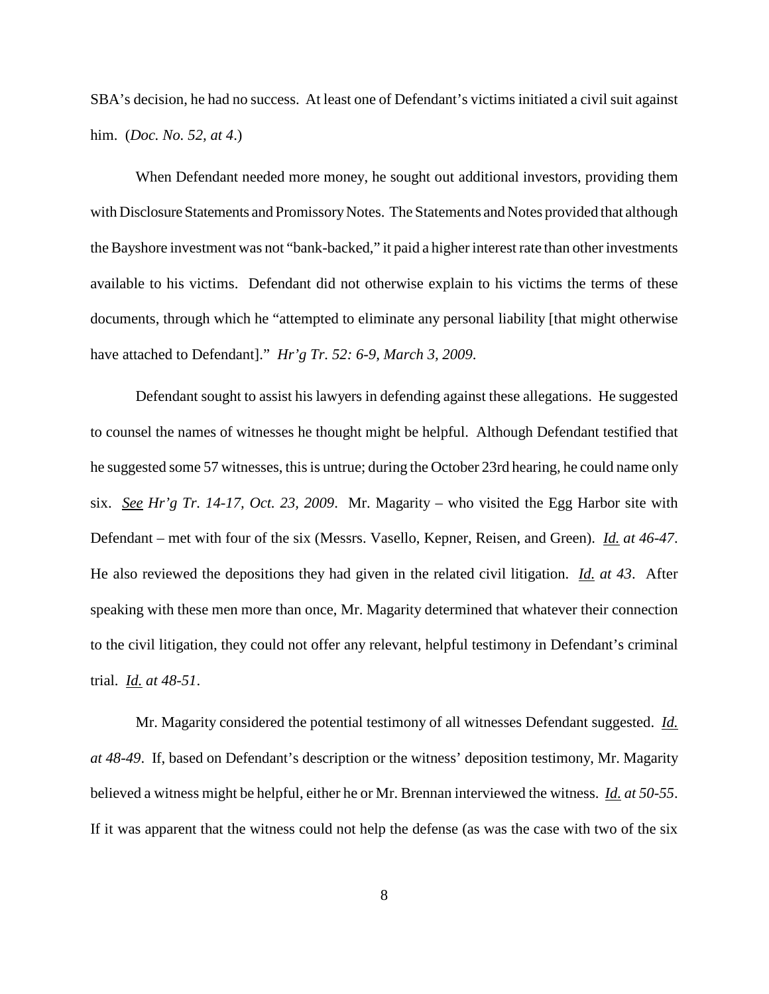SBA's decision, he had no success. At least one of Defendant's victims initiated a civil suit against him. (*Doc. No. 52, at 4*.)

When Defendant needed more money, he sought out additional investors, providing them with Disclosure Statements and Promissory Notes. The Statements and Notes provided that although theBayshore investment was not "bank-backed," it paid a higher interest rate than other investments available to his victims. Defendant did not otherwise explain to his victims the terms of these documents, through which he "attempted to eliminate any personal liability [that might otherwise have attached to Defendant]." *Hr'g Tr. 52: 6-9, March 3, 2009*.

Defendant sought to assist his lawyers in defending against these allegations. He suggested to counsel the names of witnesses he thought might be helpful. Although Defendant testified that he suggested some 57 witnesses, this is untrue; during the October 23rd hearing, he could name only six. *See Hr'g Tr. 14-17, Oct. 23, 2009*. Mr. Magarity – who visited the Egg Harbor site with Defendant – met with four of the six (Messrs. Vasello, Kepner, Reisen, and Green). *Id. at 46-47*. He also reviewed the depositions they had given in the related civil litigation. *Id. at 43*. After speaking with these men more than once, Mr. Magarity determined that whatever their connection to the civil litigation, they could not offer any relevant, helpful testimony in Defendant's criminal trial. *Id. at 48-51*.

Mr. Magarity considered the potential testimony of all witnesses Defendant suggested. *Id. at 48-49*. If, based on Defendant's description or the witness' deposition testimony, Mr. Magarity believed a witness might be helpful, either he or Mr. Brennan interviewed the witness. *Id. at 50-55*. If it was apparent that the witness could not help the defense (as was the case with two of the six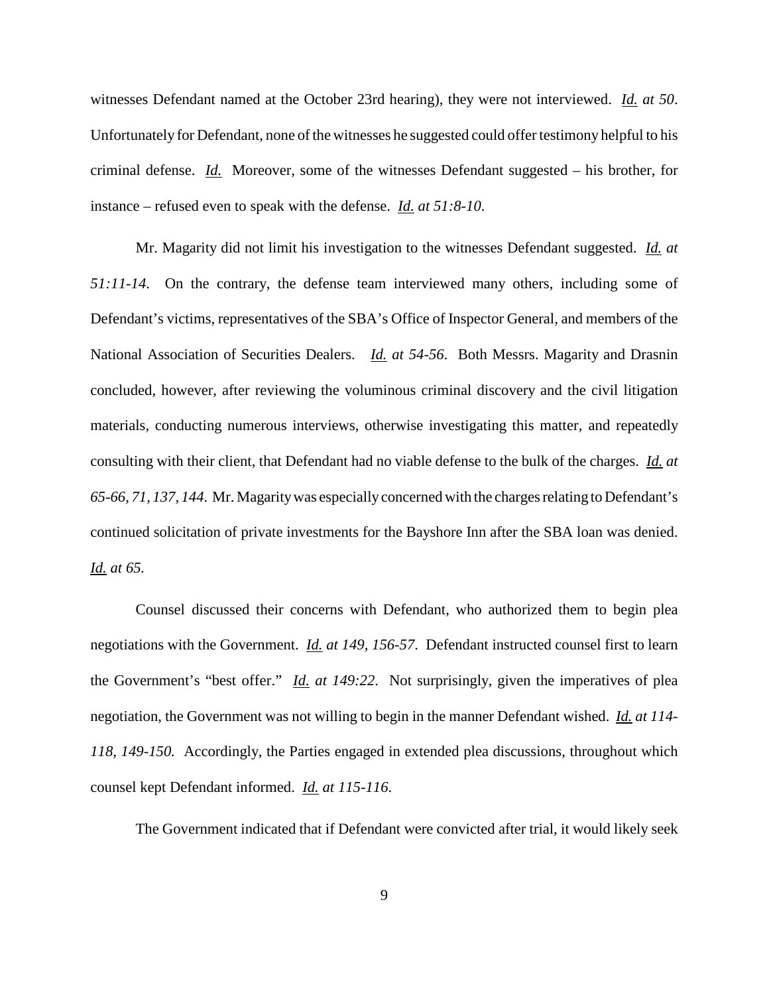witnesses Defendant named at the October 23rd hearing), they were not interviewed. *Id. at 50*. Unfortunately for Defendant, none of the witnesses he suggested could offer testimony helpful to his criminal defense. *Id.* Moreover, some of the witnesses Defendant suggested – his brother, for instance – refused even to speak with the defense. *Id. at 51:8-10*.

Mr. Magarity did not limit his investigation to the witnesses Defendant suggested. *Id. at 51:11-14*. On the contrary, the defense team interviewed many others, including some of Defendant's victims, representatives of the SBA's Office of Inspector General, and members of the National Association of Securities Dealers. *Id. at 54-56*. Both Messrs. Magarity and Drasnin concluded, however, after reviewing the voluminous criminal discovery and the civil litigation materials, conducting numerous interviews, otherwise investigating this matter, and repeatedly consulting with their client, that Defendant had no viable defense to the bulk of the charges. *Id. at 65-66, 71, 137, 144*. Mr. Magaritywas especiallyconcerned with the chargesrelating to Defendant's continued solicitation of private investments for the Bayshore Inn after the SBA loan was denied. *Id. at 65.*

Counsel discussed their concerns with Defendant, who authorized them to begin plea negotiations with the Government. *Id. at 149, 156-57*. Defendant instructed counsel first to learn the Government's "best offer." *Id. at 149:22*. Not surprisingly, given the imperatives of plea negotiation, the Government was not willing to begin in the manner Defendant wished. *Id. at 114- 118, 149-150.* Accordingly, the Parties engaged in extended plea discussions, throughout which counsel kept Defendant informed. *Id. at 115-116*.

The Government indicated that if Defendant were convicted after trial, it would likely seek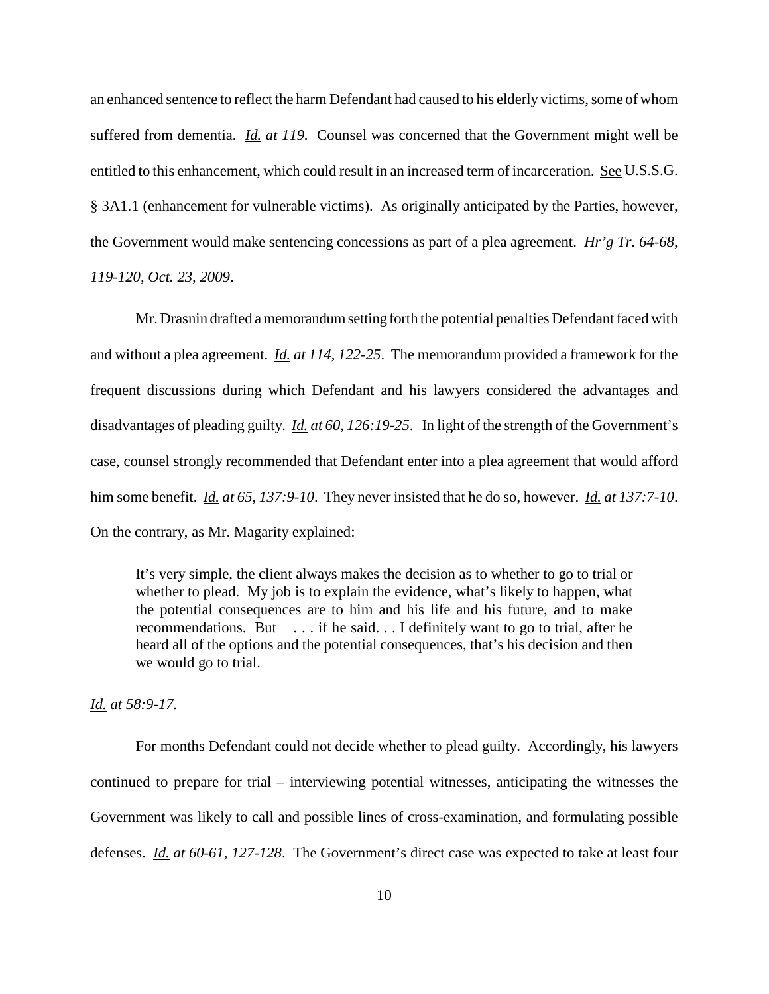an enhanced sentence to reflect the harm Defendant had caused to his elderly victims, some of whom suffered from dementia. *Id. at 119.* Counsel was concerned that the Government might well be entitled to this enhancement, which could result in an increased term of incarceration. See U.S.S.G. § 3A1.1 (enhancement for vulnerable victims). As originally anticipated by the Parties, however, the Government would make sentencing concessions as part of a plea agreement. *Hr'g Tr. 64-68, 119-120, Oct. 23, 2009*.

Mr. Drasnin drafted amemorandumsetting forth the potential penalties Defendantfaced with and without a plea agreement. *Id. at 114, 122-25*. The memorandum provided a framework for the frequent discussions during which Defendant and his lawyers considered the advantages and disadvantages of pleading guilty. *Id. at 60, 126:19-25*. In light of the strength of the Government's case, counsel strongly recommended that Defendant enter into a plea agreement that would afford him some benefit. *Id. at 65, 137:9-10*. They never insisted that he do so, however. *Id. at 137:7-10*. On the contrary, as Mr. Magarity explained:

It's very simple, the client always makes the decision as to whether to go to trial or whether to plead. My job is to explain the evidence, what's likely to happen, what the potential consequences are to him and his life and his future, and to make recommendations. But . . . if he said. . . I definitely want to go to trial, after he heard all of the options and the potential consequences, that's his decision and then we would go to trial.

*Id. at 58:9-17.*

For months Defendant could not decide whether to plead guilty. Accordingly, his lawyers continued to prepare for trial – interviewing potential witnesses, anticipating the witnesses the Government was likely to call and possible lines of cross-examination, and formulating possible defenses. *Id. at 60-61, 127-128*. The Government's direct case was expected to take at least four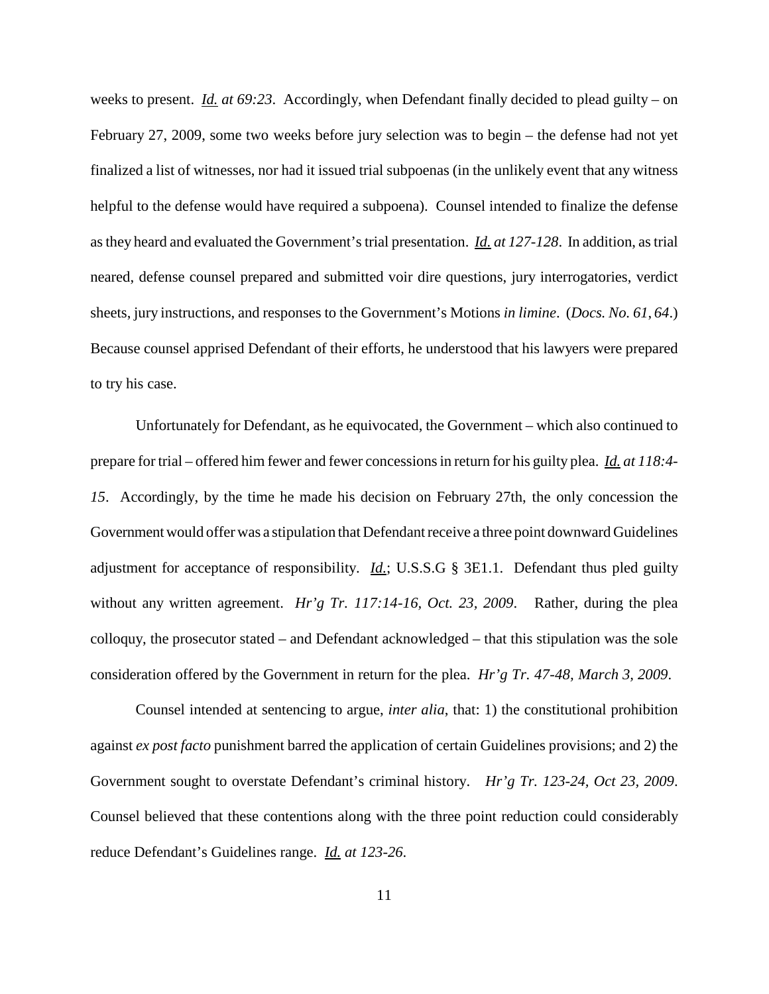weeks to present. *Id. at 69:23*. Accordingly, when Defendant finally decided to plead guilty – on February 27, 2009, some two weeks before jury selection was to begin – the defense had not yet finalized a list of witnesses, nor had it issued trial subpoenas (in the unlikely event that any witness helpful to the defense would have required a subpoena). Counsel intended to finalize the defense asthey heard and evaluated the Government'strial presentation. *Id. at 127-128*. In addition, astrial neared, defense counsel prepared and submitted voir dire questions, jury interrogatories, verdict sheets, jury instructions, and responses to the Government's Motions *in limine*. (*Docs. No. 61*, *64*.) Because counsel apprised Defendant of their efforts, he understood that his lawyers were prepared to try his case.

Unfortunately for Defendant, as he equivocated, the Government – which also continued to prepare for trial – offered him fewer and fewer concessionsin return for his guilty plea. *Id. at 118:4- 15*. Accordingly, by the time he made his decision on February 27th, the only concession the Government would offer was a stipulation that Defendant receive a three point downward Guidelines adjustment for acceptance of responsibility. *Id.*; U.S.S.G § 3E1.1. Defendant thus pled guilty without any written agreement. *Hr'g Tr. 117:14-16, Oct. 23, 2009*. Rather, during the plea colloquy, the prosecutor stated – and Defendant acknowledged – that this stipulation was the sole consideration offered by the Government in return for the plea. *Hr'g Tr. 47-48, March 3, 2009*.

Counsel intended at sentencing to argue, *inter alia*, that: 1) the constitutional prohibition against *ex post facto* punishment barred the application of certain Guidelines provisions; and 2) the Government sought to overstate Defendant's criminal history. *Hr'g Tr. 123-24, Oct 23, 2009*. Counsel believed that these contentions along with the three point reduction could considerably reduce Defendant's Guidelines range. *Id. at 123-26*.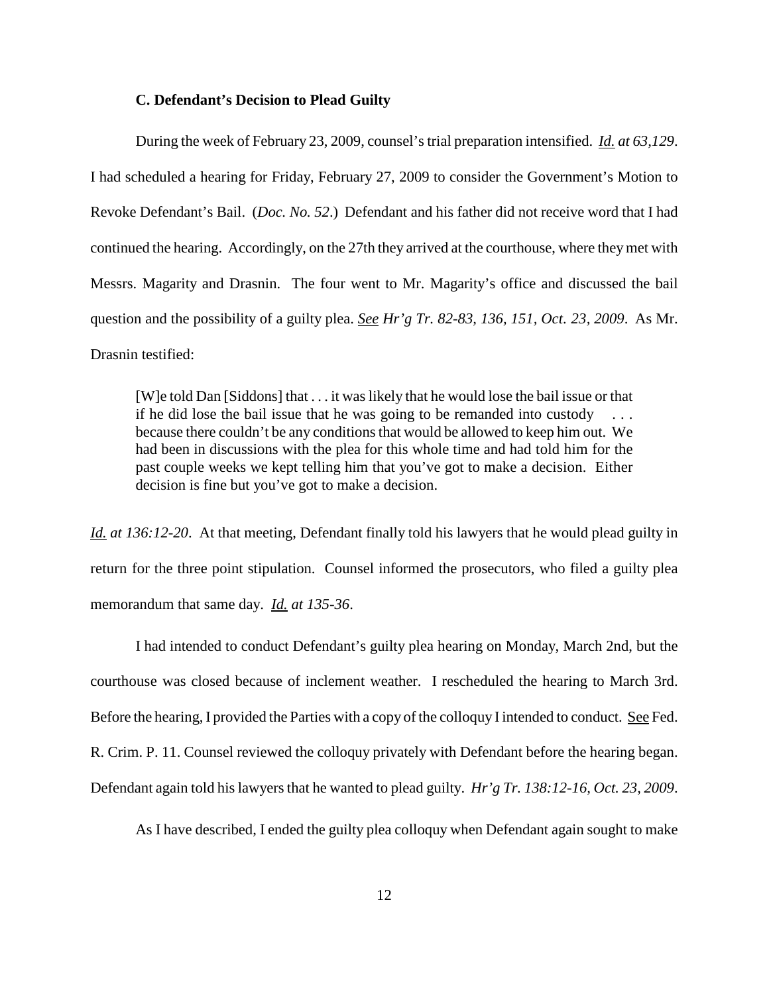## **C. Defendant's Decision to Plead Guilty**

During the week of February 23, 2009, counsel'strial preparation intensified. *Id. at 63,129*. I had scheduled a hearing for Friday, February 27, 2009 to consider the Government's Motion to Revoke Defendant's Bail. (*Doc. No. 52*.) Defendant and his father did not receive word that I had continued the hearing. Accordingly, on the 27th they arrived at the courthouse, where theymet with Messrs. Magarity and Drasnin. The four went to Mr. Magarity's office and discussed the bail question and the possibility of a guilty plea. *See Hr'g Tr. 82-83, 136, 151, Oct. 23, 2009*. As Mr. Drasnin testified:

[W]e told Dan [Siddons] that . . . it was likely that he would lose the bail issue or that if he did lose the bail issue that he was going to be remanded into custody because there couldn't be any conditions that would be allowed to keep him out. We had been in discussions with the plea for this whole time and had told him for the past couple weeks we kept telling him that you've got to make a decision. Either decision is fine but you've got to make a decision.

*Id. at 136:12-20*. At that meeting, Defendant finally told his lawyers that he would plead guilty in return for the three point stipulation. Counsel informed the prosecutors, who filed a guilty plea memorandum that same day. *Id. at 135-36*.

I had intended to conduct Defendant's guilty plea hearing on Monday, March 2nd, but the courthouse was closed because of inclement weather. I rescheduled the hearing to March 3rd. Before the hearing, I provided the Parties with a copy of the colloquy I intended to conduct. See Fed. R. Crim. P. 11. Counsel reviewed the colloquy privately with Defendant before the hearing began. Defendant again told hislawyersthat he wanted to plead guilty. *Hr'g Tr. 138:12-16, Oct. 23, 2009*.

As I have described, I ended the guilty plea colloquy when Defendant again sought to make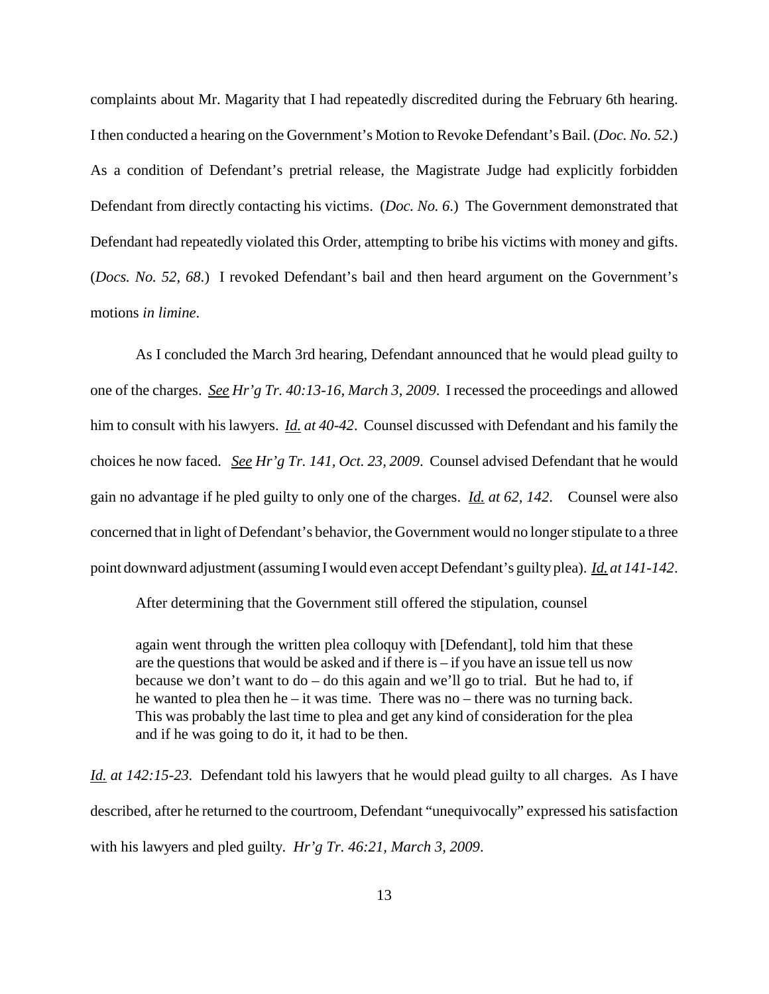complaints about Mr. Magarity that I had repeatedly discredited during the February 6th hearing. Ithen conducted a hearing on the Government's Motion to Revoke Defendant's Bail. (*Doc. No. 52*.) As a condition of Defendant's pretrial release, the Magistrate Judge had explicitly forbidden Defendant from directly contacting his victims. (*Doc. No. 6*.) The Government demonstrated that Defendant had repeatedly violated this Order, attempting to bribe his victims with money and gifts. (*Docs. No. 52, 68*.) I revoked Defendant's bail and then heard argument on the Government's motions *in limine*.

As I concluded the March 3rd hearing, Defendant announced that he would plead guilty to one of the charges. *See Hr'g Tr. 40:13-16, March 3, 2009*. I recessed the proceedings and allowed him to consult with his lawyers. *Id. at 40-42*. Counsel discussed with Defendant and his family the choices he now faced. *See Hr'g Tr. 141, Oct. 23, 2009*. Counsel advised Defendant that he would gain no advantage if he pled guilty to only one of the charges. *Id. at 62, 142*. Counsel were also concerned that in light of Defendant's behavior, the Government would no longer stipulate to a three point downward adjustment(assuming Iwould even accept Defendant's guiltyplea). *Id. at 141-142*.

After determining that the Government still offered the stipulation, counsel

again went through the written plea colloquy with [Defendant], told him that these are the questions that would be asked and if there is  $-$  if you have an issue tell us now because we don't want to do – do this again and we'll go to trial. But he had to, if he wanted to plea then he – it was time. There was no – there was no turning back. This was probably the last time to plea and get any kind of consideration for the plea and if he was going to do it, it had to be then.

*Id. at 142:15-23.* Defendant told his lawyers that he would plead guilty to all charges. As I have described, after he returned to the courtroom, Defendant "unequivocally" expressed his satisfaction with his lawyers and pled guilty. *Hr'g Tr. 46:21, March 3, 2009*.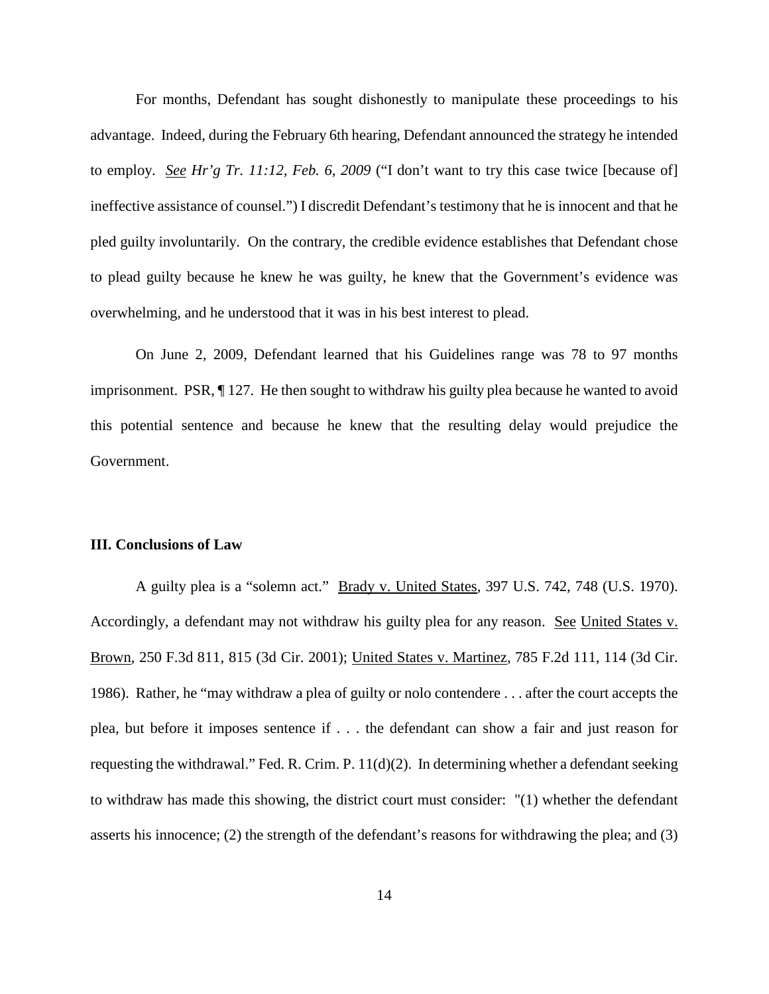For months, Defendant has sought dishonestly to manipulate these proceedings to his advantage. Indeed, during the February 6th hearing, Defendant announced the strategy he intended to employ. *See Hr'g Tr. 11:12, Feb. 6, 2009* ("I don't want to try this case twice [because of] ineffective assistance of counsel.") I discredit Defendant's testimony that he is innocent and that he pled guilty involuntarily. On the contrary, the credible evidence establishes that Defendant chose to plead guilty because he knew he was guilty, he knew that the Government's evidence was overwhelming, and he understood that it was in his best interest to plead.

On June 2, 2009, Defendant learned that his Guidelines range was 78 to 97 months imprisonment. PSR, ¶ 127. He then sought to withdraw his guilty plea because he wanted to avoid this potential sentence and because he knew that the resulting delay would prejudice the Government.

# **III. Conclusions of Law**

A guilty plea is a "solemn act." Brady v. United States, 397 U.S. 742, 748 (U.S. 1970). Accordingly, a defendant may not withdraw his guilty plea for any reason. See United States v. Brown, 250 F.3d 811, 815 (3d Cir. 2001); United States v. Martinez, 785 F.2d 111, 114 (3d Cir. 1986). Rather, he "may withdraw a plea of guilty or nolo contendere . . . after the court accepts the plea, but before it imposes sentence if . . . the defendant can show a fair and just reason for requesting the withdrawal." Fed. R. Crim. P. 11(d)(2). In determining whether a defendant seeking to withdraw has made this showing, the district court must consider: "(1) whether the defendant asserts his innocence; (2) the strength of the defendant's reasons for withdrawing the plea; and (3)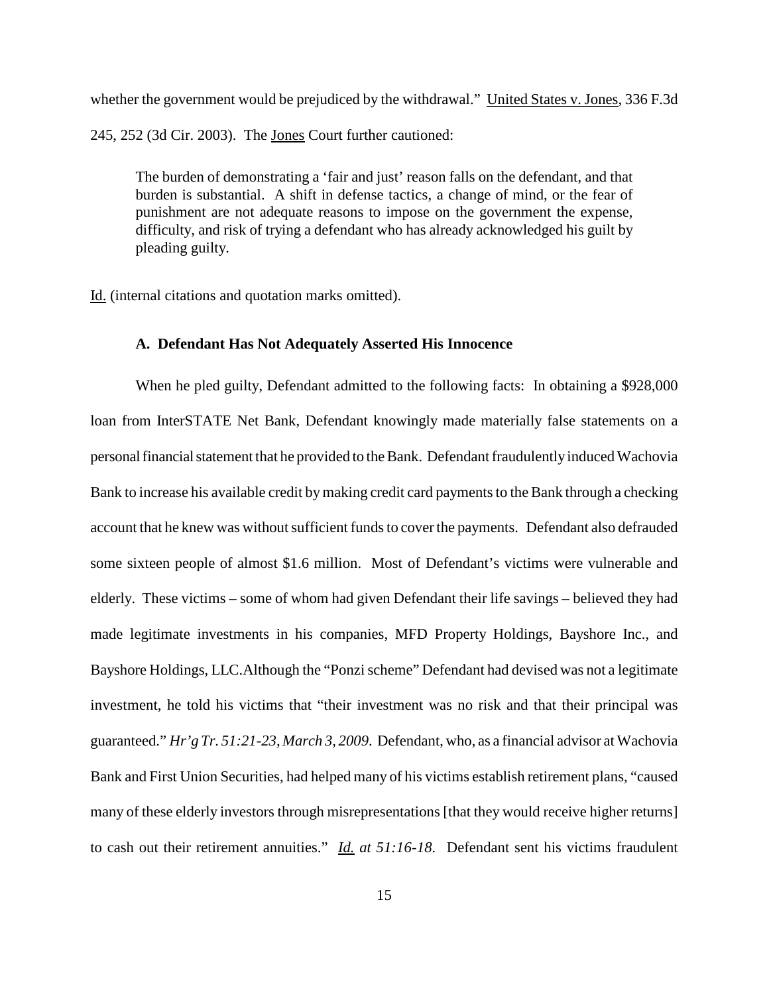whether the government would be prejudiced by the withdrawal." United States v. Jones, 336 F.3d 245, 252 (3d Cir. 2003). The Jones Court further cautioned:

The burden of demonstrating a 'fair and just' reason falls on the defendant, and that burden is substantial. A shift in defense tactics, a change of mind, or the fear of punishment are not adequate reasons to impose on the government the expense, difficulty, and risk of trying a defendant who has already acknowledged his guilt by pleading guilty.

Id. (internal citations and quotation marks omitted).

## **A. Defendant Has Not Adequately Asserted His Innocence**

When he pled guilty, Defendant admitted to the following facts: In obtaining a \$928,000 loan from InterSTATE Net Bank, Defendant knowingly made materially false statements on a personal financial statement that he provided to the Bank. Defendant fraudulently induced Wachovia Bank to increase his available credit by making credit card payments to the Bank through a checking account that he knew was without sufficient funds to cover the payments. Defendant also defrauded some sixteen people of almost \$1.6 million. Most of Defendant's victims were vulnerable and elderly. These victims – some of whom had given Defendant their life savings – believed they had made legitimate investments in his companies, MFD Property Holdings, Bayshore Inc., and Bayshore Holdings, LLC.Although the "Ponzischeme" Defendant had devised was not a legitimate investment, he told his victims that "their investment was no risk and that their principal was guaranteed." *Hr'g Tr. 51:21-23, March 3, 2009*. Defendant, who, as a financial advisor at Wachovia Bank and First Union Securities, had helped many of his victims establish retirement plans, "caused many of these elderly investors through misrepresentations [that they would receive higher returns] to cash out their retirement annuities." *Id. at 51:16-18.* Defendant sent his victims fraudulent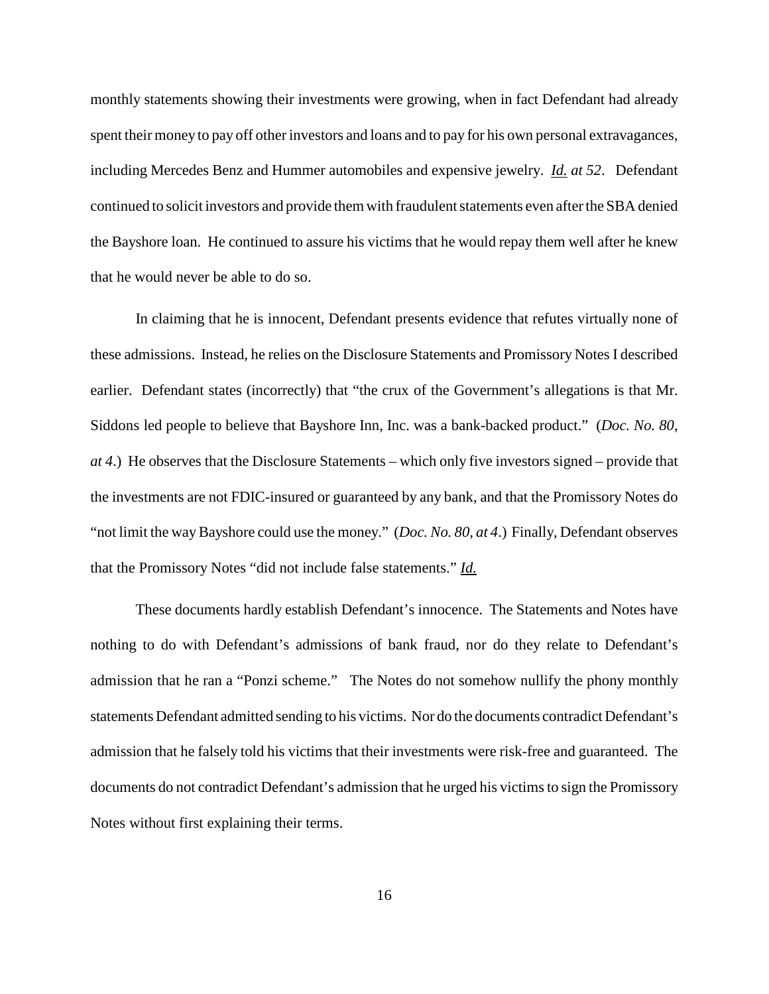monthly statements showing their investments were growing, when in fact Defendant had already spent their money to pay off other investors and loans and to pay for his own personal extravagances, including Mercedes Benz and Hummer automobiles and expensive jewelry. *Id. at 52*. Defendant continued to solicit investors and provide them with fraudulent statements even after the SBA denied the Bayshore loan. He continued to assure his victims that he would repay them well after he knew that he would never be able to do so.

In claiming that he is innocent, Defendant presents evidence that refutes virtually none of these admissions. Instead, he relies on the Disclosure Statements and Promissory Notes I described earlier. Defendant states (incorrectly) that "the crux of the Government's allegations is that Mr. Siddons led people to believe that Bayshore Inn, Inc. was a bank-backed product." (*Doc. No. 80, at 4*.) He observes that the Disclosure Statements – which only five investors signed – provide that the investments are not FDIC-insured or guaranteed by any bank, and that the Promissory Notes do "not limit the way Bayshore could use the money." (*Doc. No. 80, at 4.*) Finally, Defendant observes that the Promissory Notes "did not include false statements." *Id.*

These documents hardly establish Defendant's innocence. The Statements and Notes have nothing to do with Defendant's admissions of bank fraud, nor do they relate to Defendant's admission that he ran a "Ponzi scheme." The Notes do not somehow nullify the phony monthly statements Defendant admitted sending to his victims. Nor do the documents contradict Defendant's admission that he falsely told his victims that their investments were risk-free and guaranteed. The documents do not contradict Defendant's admission that he urged his victims to sign the Promissory Notes without first explaining their terms.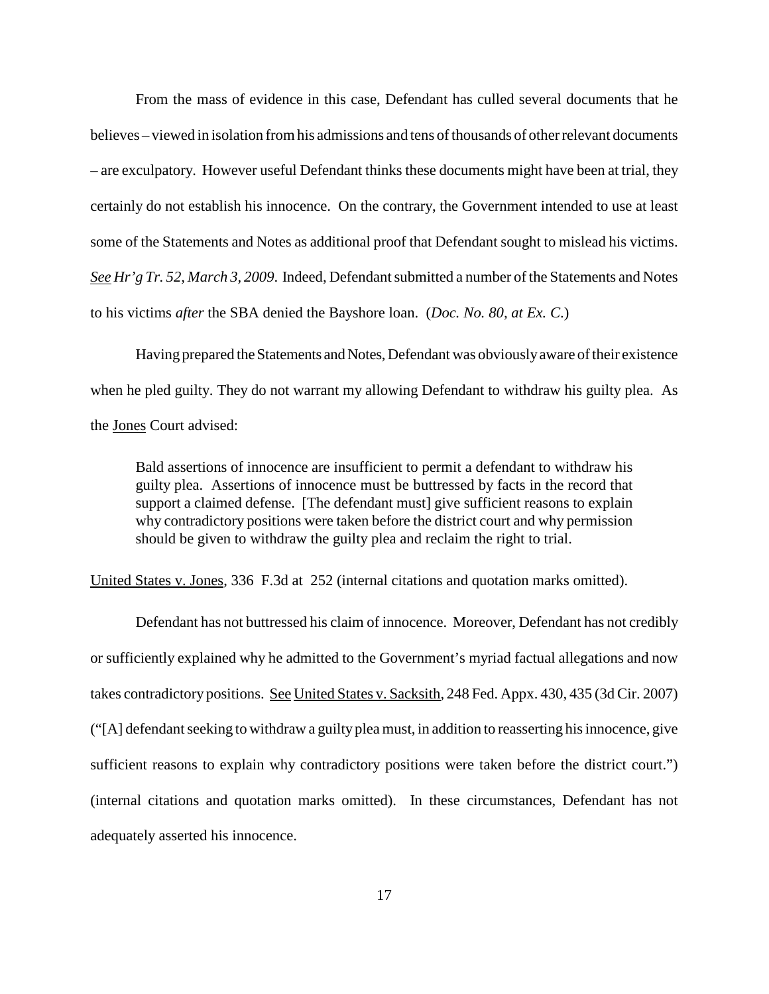From the mass of evidence in this case, Defendant has culled several documents that he believes – viewed in isolation fromhis admissions and tens ofthousands of otherrelevant documents – are exculpatory. However useful Defendant thinks these documents might have been at trial, they certainly do not establish his innocence. On the contrary, the Government intended to use at least some of the Statements and Notes as additional proof that Defendant sought to mislead his victims. *See Hr'g Tr.* 52, *March* 3, 2009. Indeed, Defendant submitted a number of the Statements and Notes to his victims *after* the SBA denied the Bayshore loan. (*Doc. No. 80, at Ex. C*.)

Having prepared the Statements and Notes, Defendant was obviously aware of their existence when he pled guilty. They do not warrant my allowing Defendant to withdraw his guilty plea. As the Jones Court advised:

Bald assertions of innocence are insufficient to permit a defendant to withdraw his guilty plea. Assertions of innocence must be buttressed by facts in the record that support a claimed defense. [The defendant must] give sufficient reasons to explain why contradictory positions were taken before the district court and why permission should be given to withdraw the guilty plea and reclaim the right to trial.

United States v. Jones, 336 F.3d at 252 (internal citations and quotation marks omitted).

Defendant has not buttressed his claim of innocence. Moreover, Defendant has not credibly or sufficiently explained why he admitted to the Government's myriad factual allegations and now takes contradictory positions. See United States v. Sacksith, 248 Fed. Appx. 430, 435 (3d Cir. 2007)  $("A]$  defendant seeking to withdraw a guilty plea must, in addition to reasserting his innocence, give sufficient reasons to explain why contradictory positions were taken before the district court.") (internal citations and quotation marks omitted). In these circumstances, Defendant has not adequately asserted his innocence.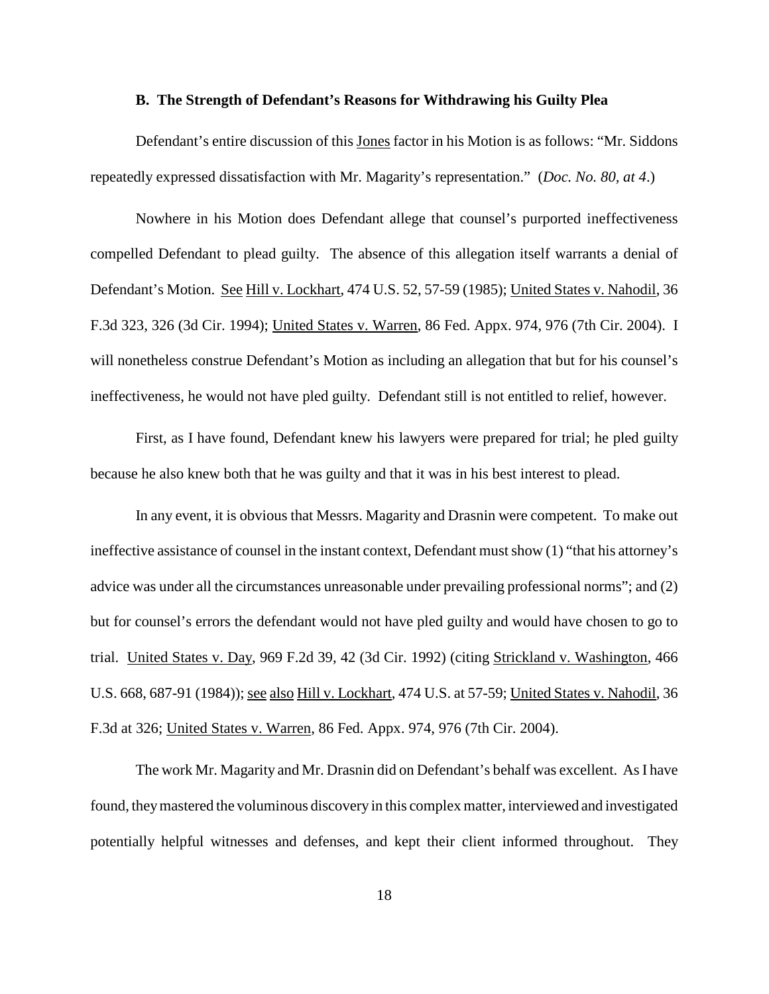#### **B. The Strength of Defendant's Reasons for Withdrawing his Guilty Plea**

Defendant's entire discussion of this Jones factor in his Motion is as follows: "Mr. Siddons repeatedly expressed dissatisfaction with Mr. Magarity's representation." (*Doc. No. 80, at 4*.)

Nowhere in his Motion does Defendant allege that counsel's purported ineffectiveness compelled Defendant to plead guilty. The absence of this allegation itself warrants a denial of Defendant's Motion. See Hill v. Lockhart, 474 U.S. 52, 57-59 (1985); United States v. Nahodil, 36 F.3d 323, 326 (3d Cir. 1994); United States v. Warren, 86 Fed. Appx. 974, 976 (7th Cir. 2004). I will nonetheless construe Defendant's Motion as including an allegation that but for his counsel's ineffectiveness, he would not have pled guilty. Defendant still is not entitled to relief, however.

First, as I have found, Defendant knew his lawyers were prepared for trial; he pled guilty because he also knew both that he was guilty and that it was in his best interest to plead.

In any event, it is obvious that Messrs. Magarity and Drasnin were competent. To make out ineffective assistance of counsel in the instant context, Defendant mustshow (1) "that his attorney's advice was under all the circumstances unreasonable under prevailing professional norms"; and (2) but for counsel's errors the defendant would not have pled guilty and would have chosen to go to trial. United States v. Day, 969 F.2d 39, 42 (3d Cir. 1992) (citing Strickland v. Washington, 466 U.S. 668, 687-91 (1984)); see also Hill v. Lockhart, 474 U.S. at 57-59; United States v. Nahodil, 36 F.3d at 326; United States v. Warren, 86 Fed. Appx. 974, 976 (7th Cir. 2004).

The work Mr. Magarity and Mr. Drasnin did on Defendant's behalf was excellent. AsI have found, theymastered the voluminous discovery in this complex matter, interviewed and investigated potentially helpful witnesses and defenses, and kept their client informed throughout. They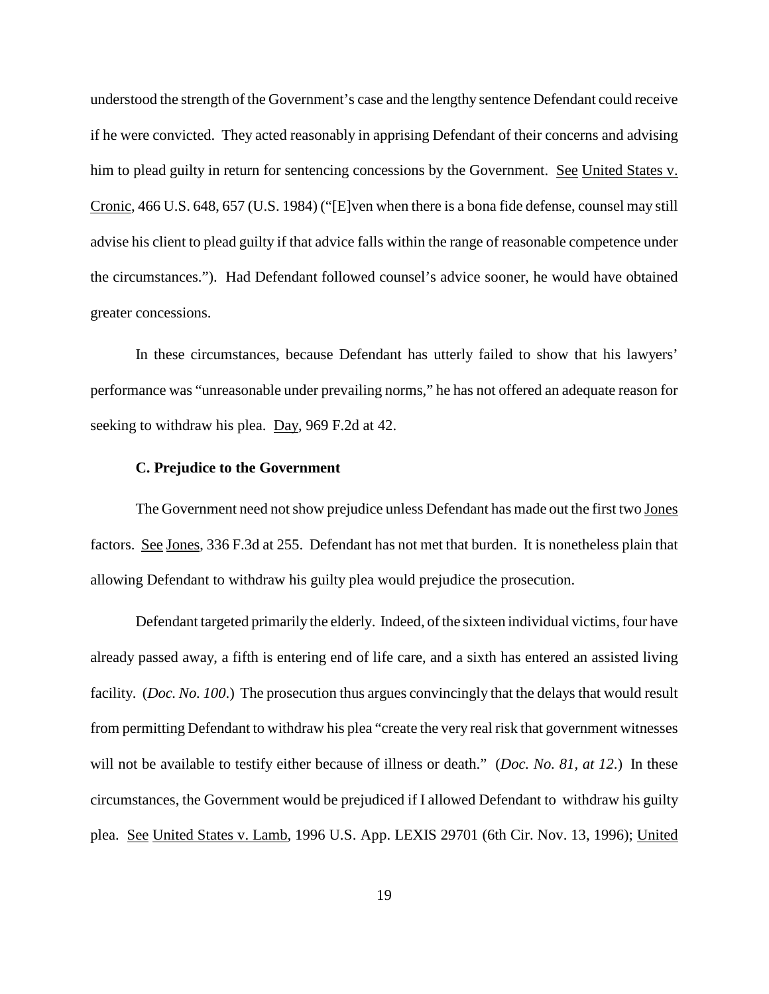understood the strength of the Government's case and the lengthy sentence Defendant could receive if he were convicted. They acted reasonably in apprising Defendant of their concerns and advising him to plead guilty in return for sentencing concessions by the Government. See United States v. Cronic, 466 U.S. 648, 657 (U.S. 1984) ("[E]ven when there is a bona fide defense, counsel may still advise his client to plead guilty if that advice falls within the range of reasonable competence under the circumstances."). Had Defendant followed counsel's advice sooner, he would have obtained greater concessions.

In these circumstances, because Defendant has utterly failed to show that his lawyers' performance was "unreasonable under prevailing norms," he has not offered an adequate reason for seeking to withdraw his plea. Day, 969 F.2d at 42.

### **C. Prejudice to the Government**

The Government need not show prejudice unless Defendant has made out the first two Jones factors. See Jones, 336 F.3d at 255. Defendant has not met that burden. It is nonetheless plain that allowing Defendant to withdraw his guilty plea would prejudice the prosecution.

Defendant targeted primarily the elderly. Indeed, of the sixteen individual victims, four have already passed away, a fifth is entering end of life care, and a sixth has entered an assisted living facility. (*Doc. No. 100*.) The prosecution thus argues convincingly that the delays that would result from permitting Defendant to withdraw his plea "create the very real risk that government witnesses will not be available to testify either because of illness or death." (*Doc. No. 81, at 12*.) In these circumstances, the Government would be prejudiced if I allowed Defendant to withdraw his guilty plea. See United States v. Lamb, 1996 U.S. App. LEXIS 29701 (6th Cir. Nov. 13, 1996); United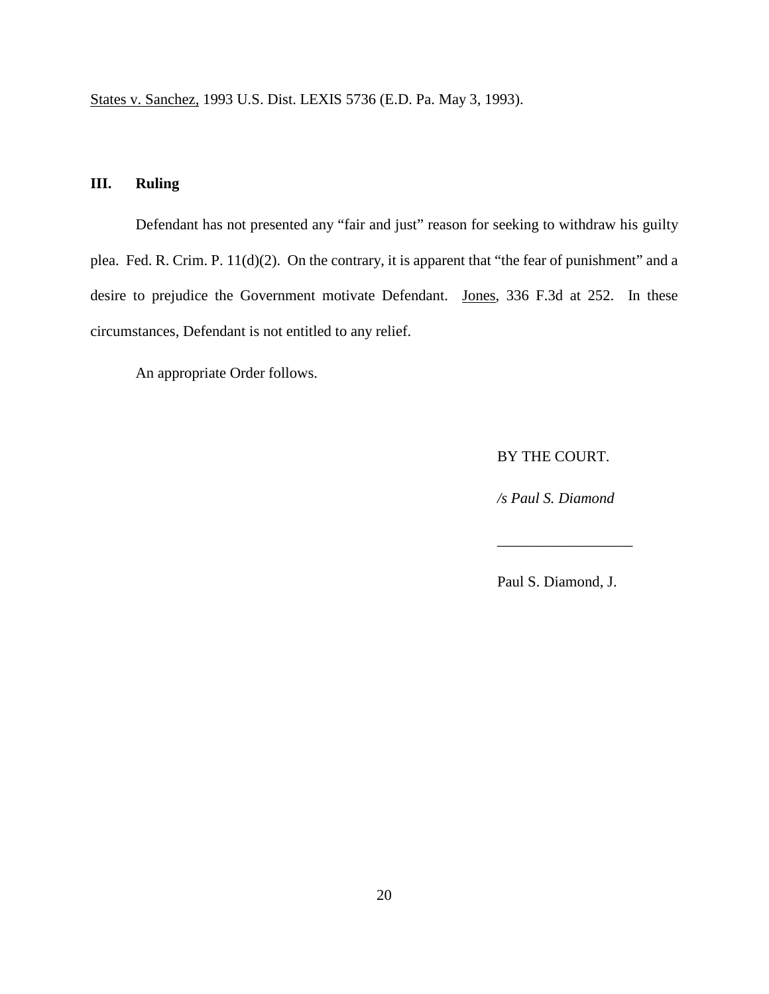States v. Sanchez, 1993 U.S. Dist. LEXIS 5736 (E.D. Pa. May 3, 1993).

# **III. Ruling**

Defendant has not presented any "fair and just" reason for seeking to withdraw his guilty plea. Fed. R. Crim. P. 11(d)(2). On the contrary, it is apparent that "the fear of punishment" and a desire to prejudice the Government motivate Defendant. Jones, 336 F.3d at 252. In these circumstances, Defendant is not entitled to any relief.

An appropriate Order follows.

BY THE COURT.

*/s Paul S. Diamond*

Paul S. Diamond, J.

\_\_\_\_\_\_\_\_\_\_\_\_\_\_\_\_\_\_